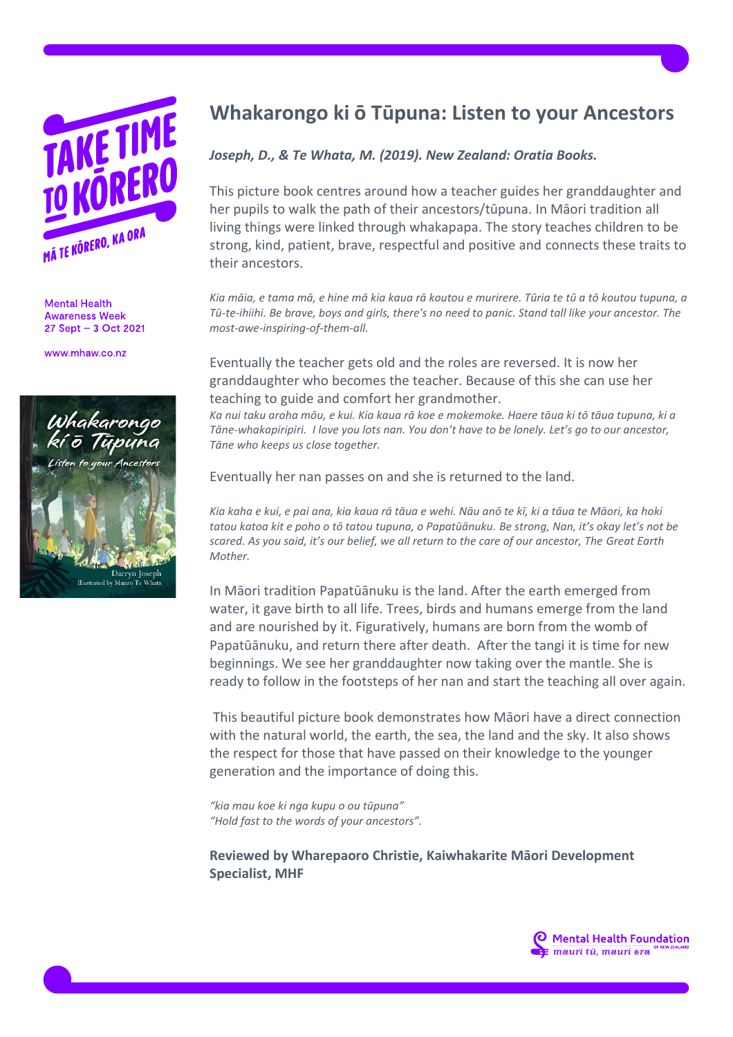

**Mental Health Awareness Week** 27 Sept - 3 Oct 2021

www.mhaw.co.nz



## **Whakarongo ki ō Tūpuna: Listen to your Ancestors**

## *Joseph, D., & Te Whata, M. (2019). New Zealand: Oratia Books.*

This picture book centres around how a teacher guides her granddaughter and her pupils to walk the path of their ancestors/tūpuna. In Māori tradition all living things were linked through whakapapa. The story teaches children to be strong, kind, patient, brave, respectful and positive and connects these traits to their ancestors.

*Kia māia, e tama mā, e hine mā kia kaua rā koutou e murirere. Tūria te tū a tō koutou tupuna, a Tū-te-ihiihi. Be brave, boys and girls, there's no need to panic. Stand tall like your ancestor. The most-awe-inspiring-of-them-all.*

Eventually the teacher gets old and the roles are reversed. It is now her granddaughter who becomes the teacher. Because of this she can use her teaching to guide and comfort her grandmother.

*Ka nui taku aroha mōu, e kui. Kia kaua rā koe e mokemoke. Haere tāua ki tō tāua tupuna, ki a Tāne-whakapiripiri. I love you lots nan. You don't have to be lonely. Let's go to our ancestor, Tāne who keeps us close together.*

Eventually her nan passes on and she is returned to the land.

*Kia kaha e kui, e pai ana, kia kaua rā tāua e wehi. Nāu anō te kī, ki a tāua te Māori, ka hoki tatou katoa kit e poho o tō tatou tupuna, o Papatūānuku. Be strong, Nan, it's okay let's not be scared. As you said, it's our belief, we all return to the care of our ancestor, The Great Earth Mother.*

In Māori tradition Papatūānuku is the land. After the earth emerged from water, it gave birth to all life. Trees, birds and humans emerge from the land and are nourished by it. Figuratively, humans are born from the womb of Papatūānuku, and return there after death. After the tangi it is time for new beginnings. We see her granddaughter now taking over the mantle. She is ready to follow in the footsteps of her nan and start the teaching all over again.

This beautiful picture book demonstrates how Māori have a direct connection with the natural world, the earth, the sea, the land and the sky. It also shows the respect for those that have passed on their knowledge to the younger generation and the importance of doing this.

*"kia mau koe ki nga kupu o ou tūpuna" "Hold fast to the words of your ancestors".*

**Reviewed by Wharepaoro Christie, Kaiwhakarite Māori Development Specialist, MHF**